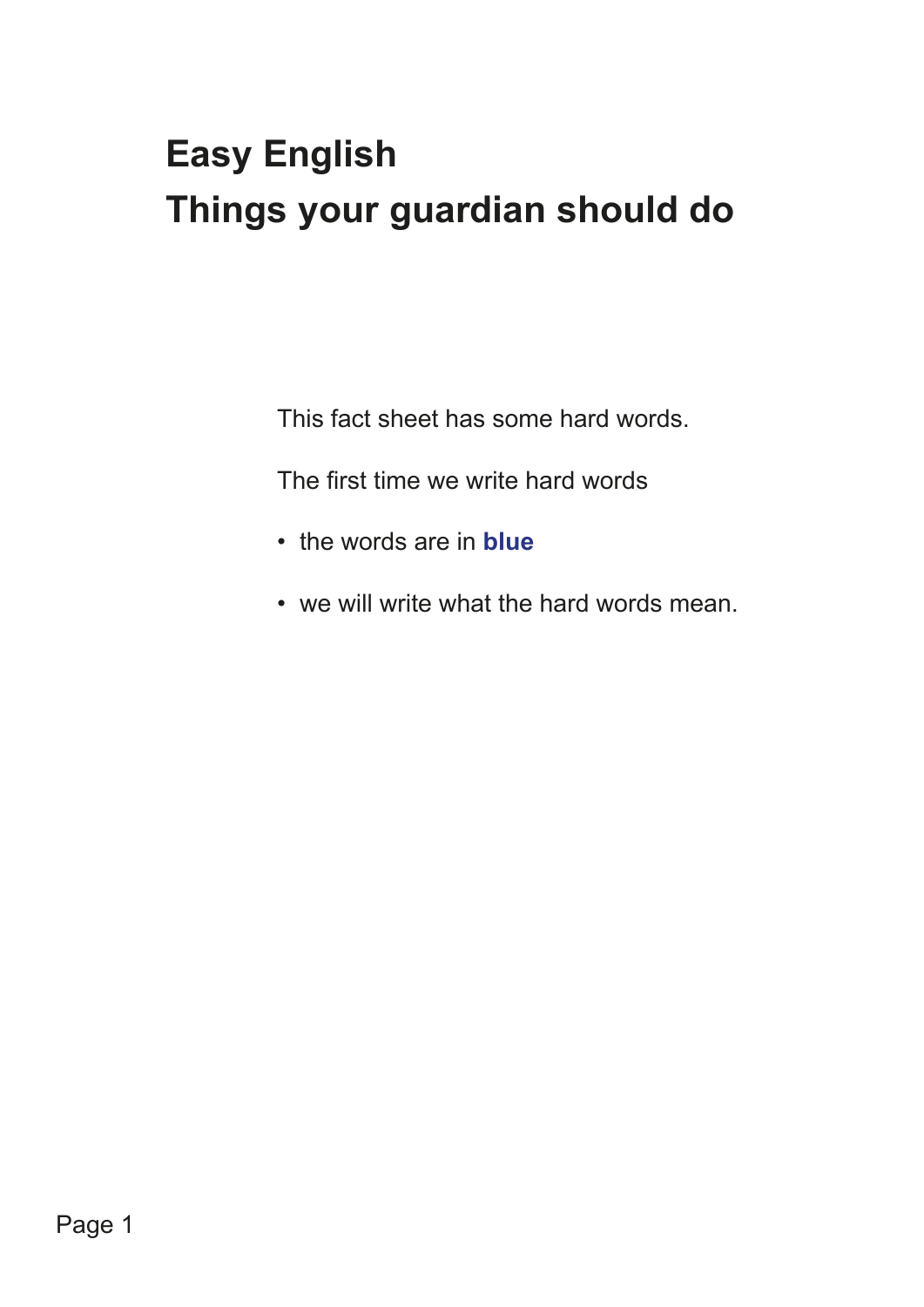# **Easy English Things your guardian should do**

This fact sheet has some hard words.

The first time we write hard words

- the words are in **blue**
- we will write what the hard words mean.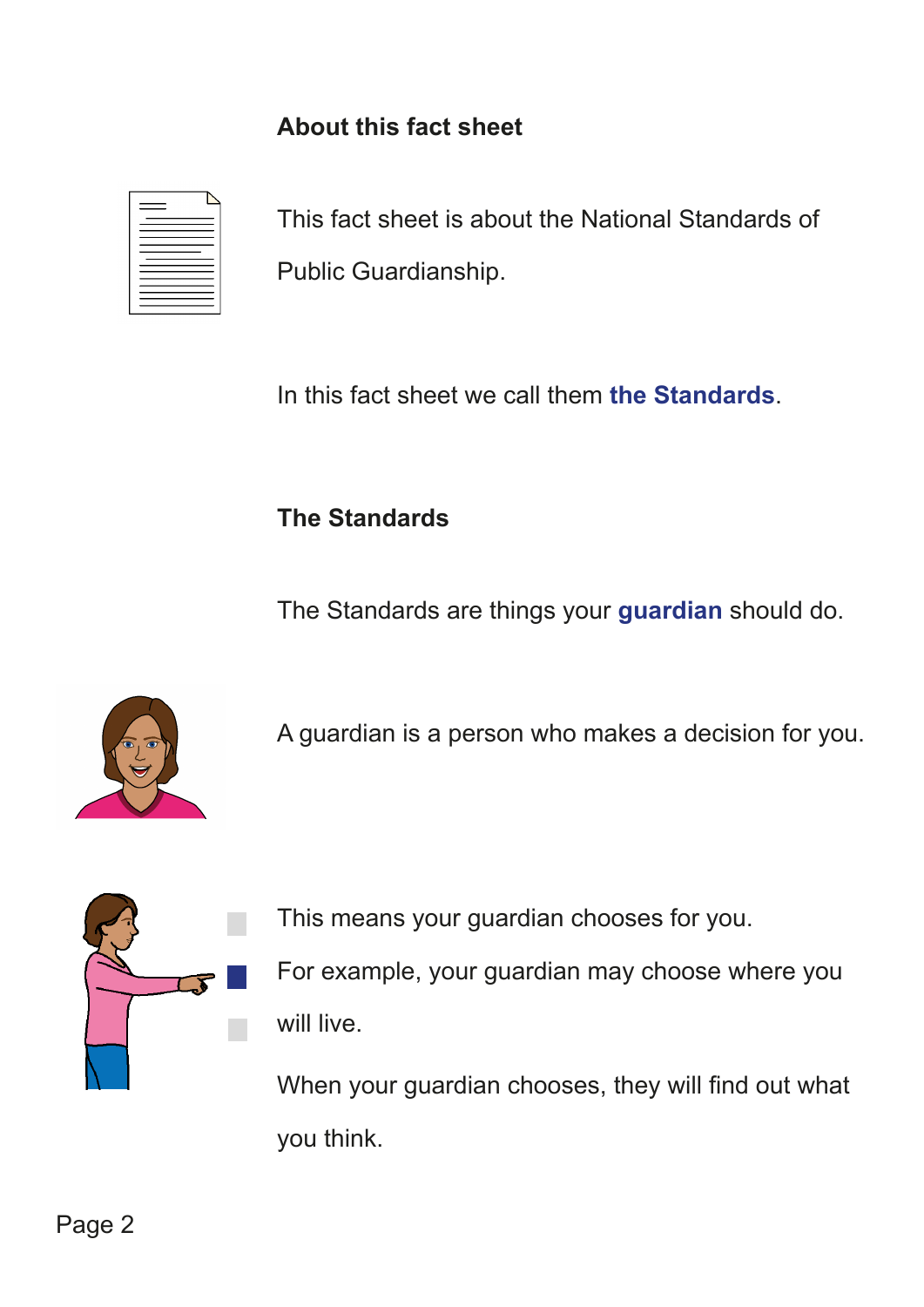### **About this fact sheet**

| __ |        |
|----|--------|
|    | -      |
|    | _<br>- |
|    |        |
|    |        |

This fact sheet is about the National Standards of Public Guardianship.

In this fact sheet we call them **the Standards**.

#### **The Standards**

The Standards are things your **guardian** should do.



A guardian is a person who makes a decision for you.



This means your guardian chooses for you. For example, your guardian may choose where you will live.

When your guardian chooses, they will find out what you think.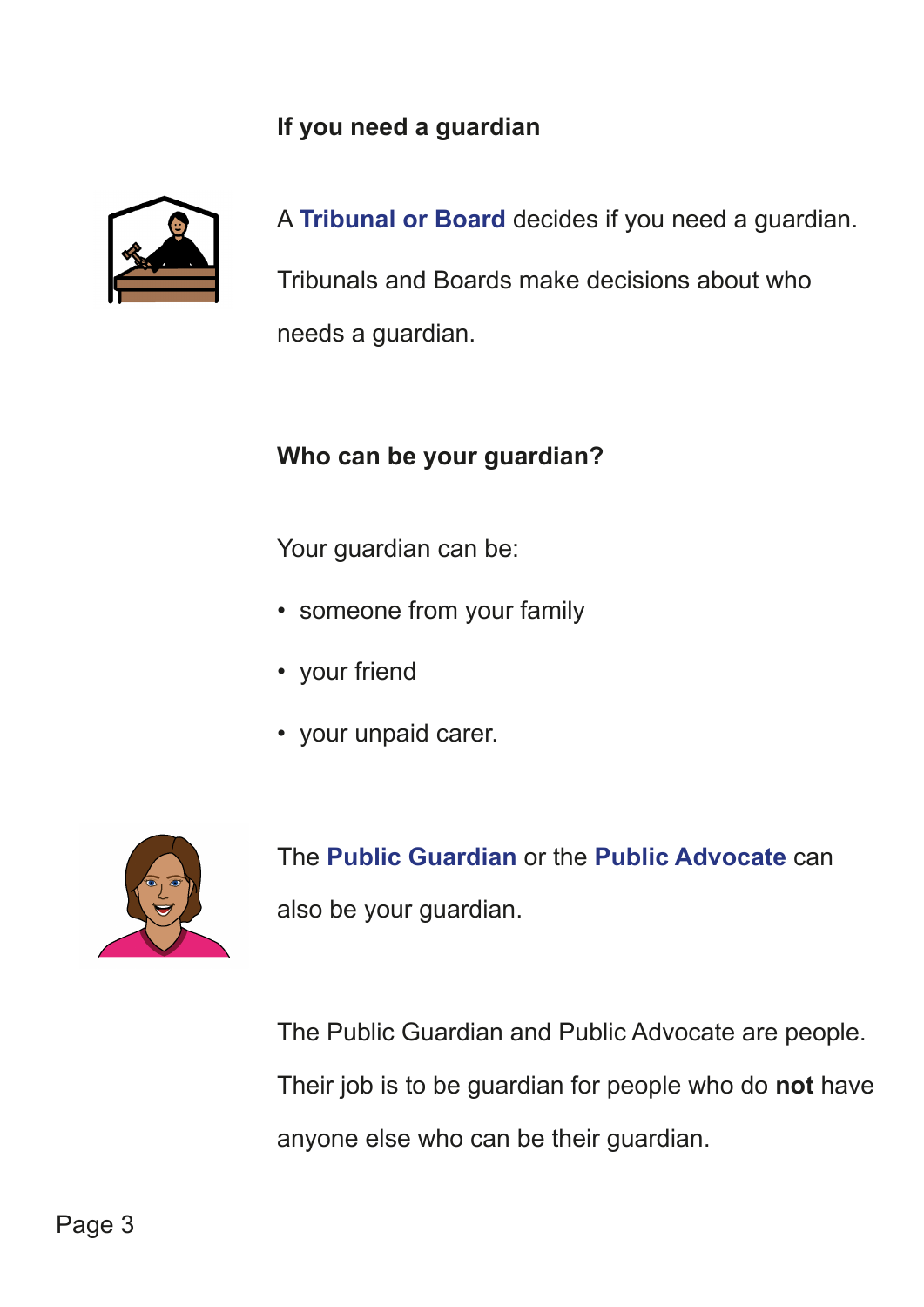#### **If you need a guardian**



A **Tribunal or Board** decides if you need a guardian.

Tribunals and Boards make decisions about who needs a guardian.

#### **Who can be your guardian?**

Your guardian can be:

- someone from your family
- your friend
- your unpaid carer.



The **Public Guardian** or the **Public Advocate** can also be your guardian.

The Public Guardian and Public Advocate are people. Their job is to be guardian for people who do **not** have anyone else who can be their guardian.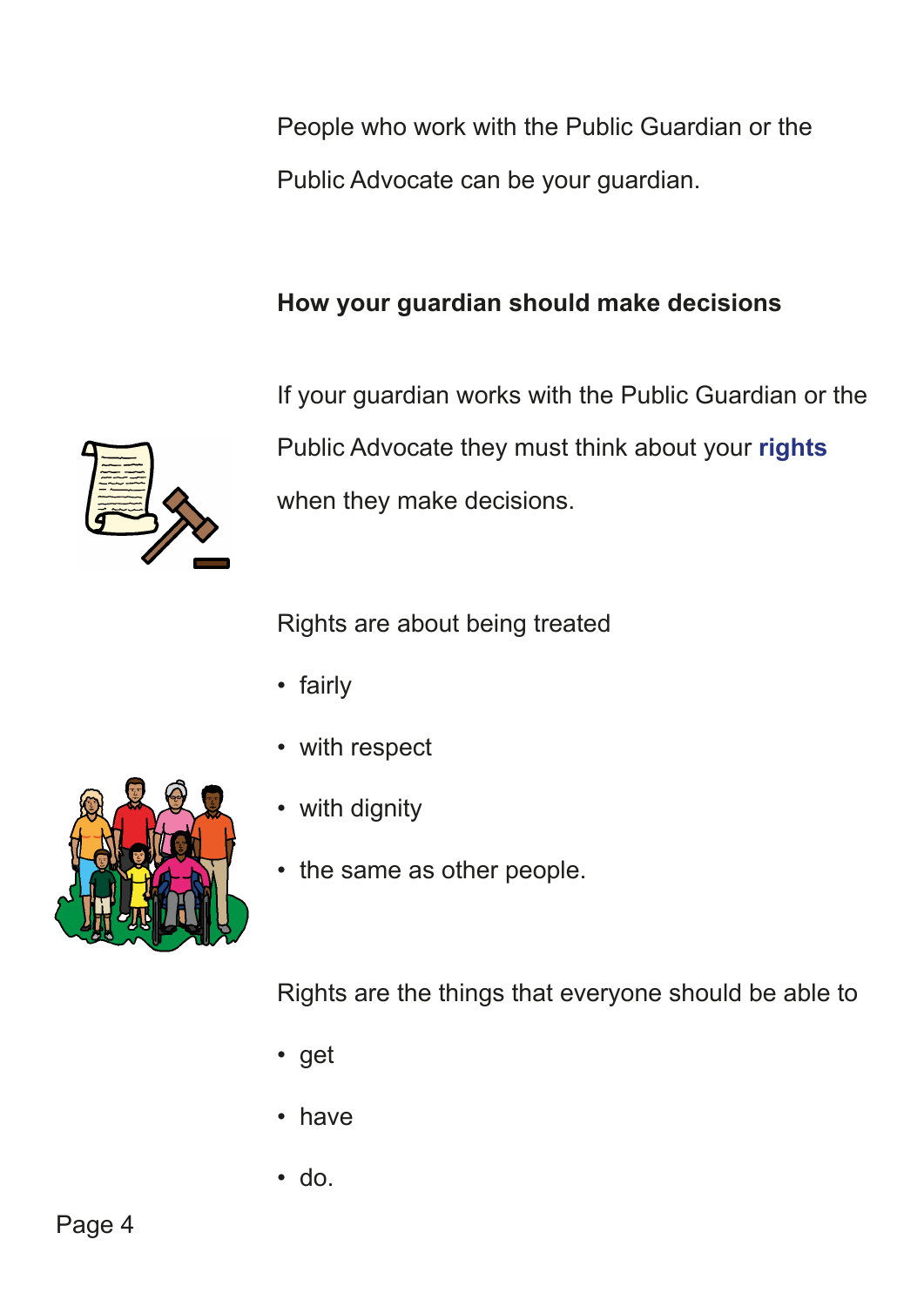People who work with the Public Guardian or the Public Advocate can be your guardian.

## **How your guardian should make decisions**



If your guardian works with the Public Guardian or the Public Advocate they must think about your **rights** when they make decisions.

Rights are about being treated

- fairly
- with respect
- with dignity
- the same as other people.

Rights are the things that everyone should be able to

- get
- have
- do.

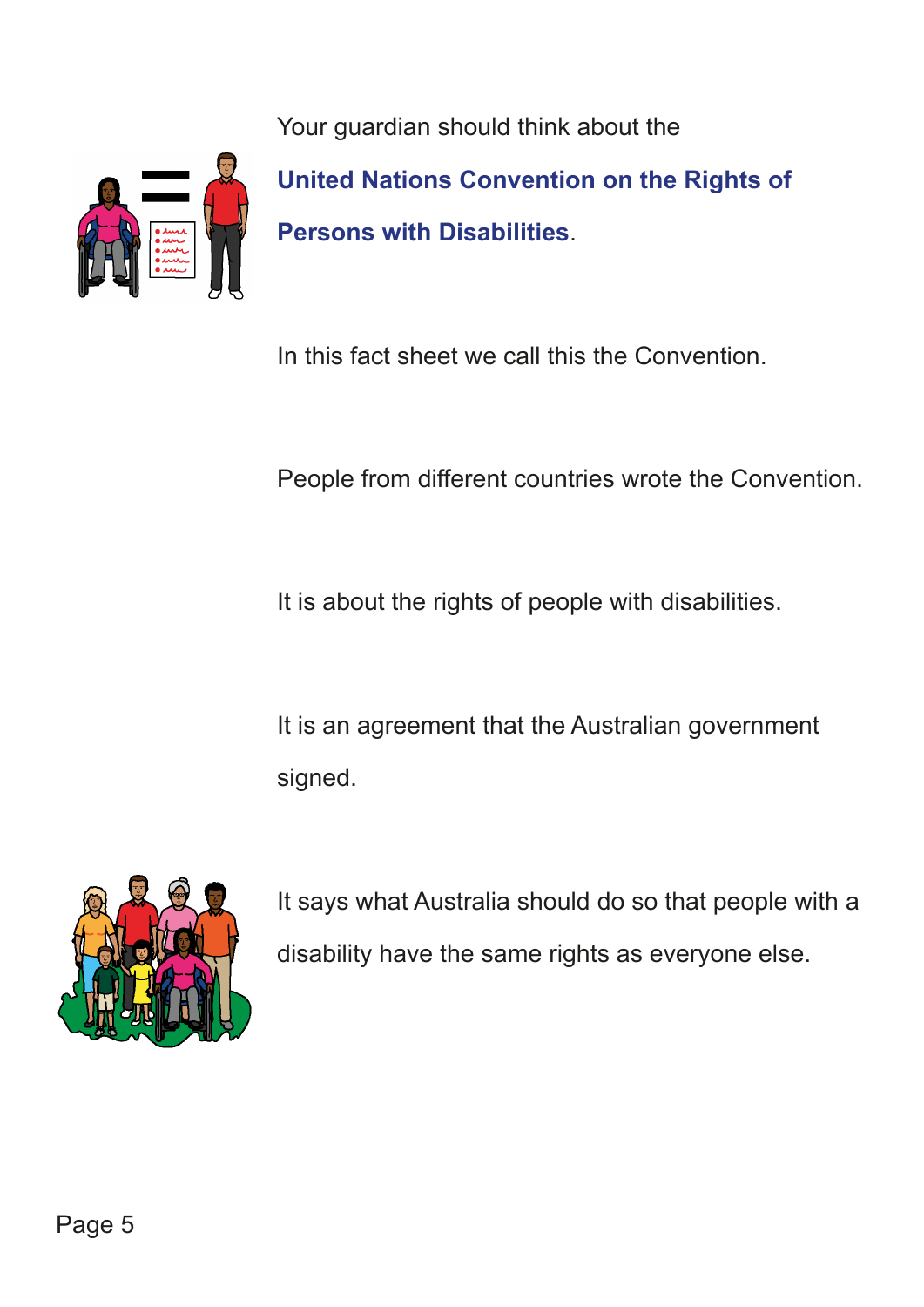Your guardian should think about the



**United Nations Convention on the Rights of Persons with Disabilities**.

In this fact sheet we call this the Convention.

People from different countries wrote the Convention.

It is about the rights of people with disabilities.

It is an agreement that the Australian government signed.



It says what Australia should do so that people with a disability have the same rights as everyone else.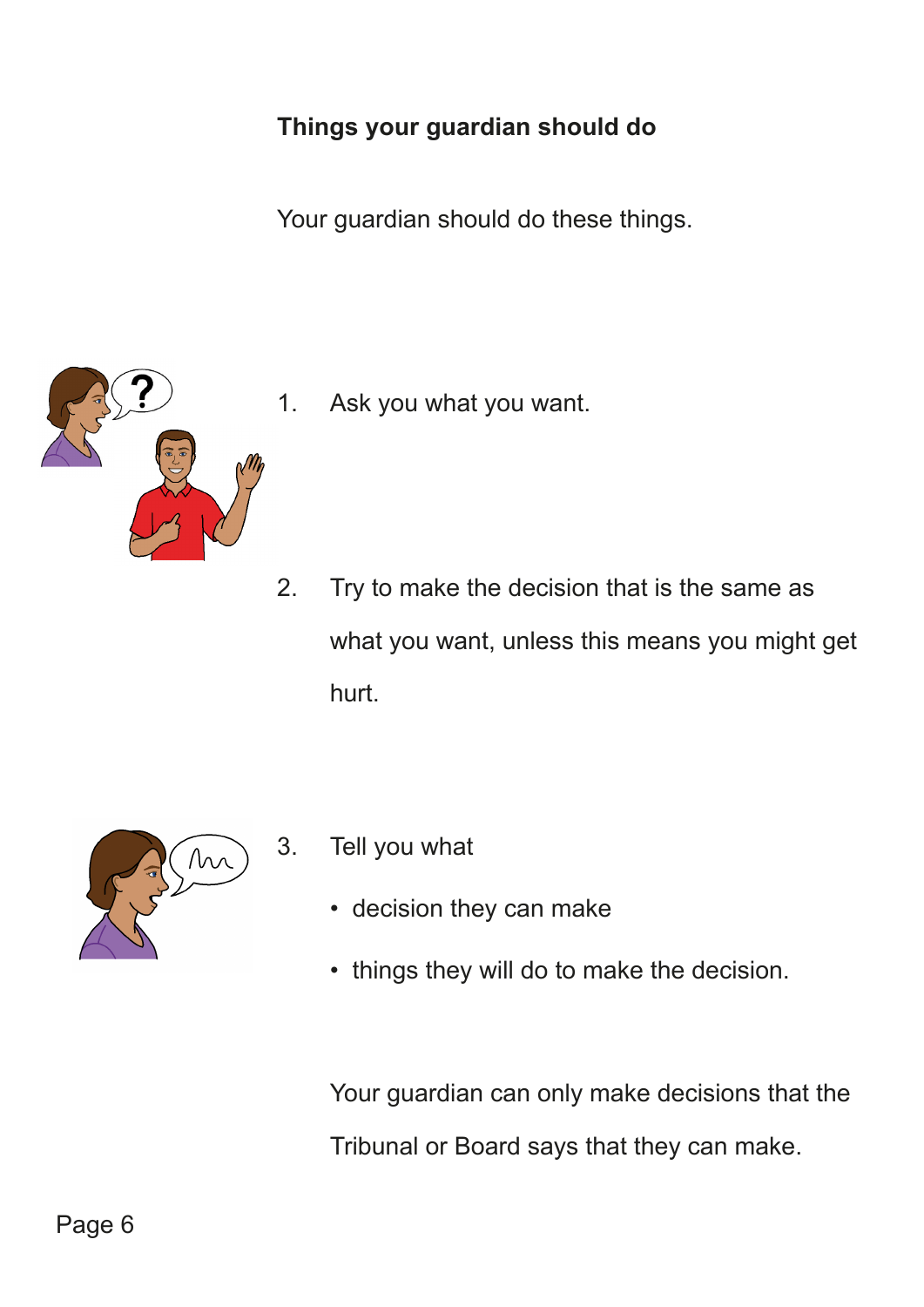## **Things your guardian should do**

Your guardian should do these things.



1. Ask you what you want.

2. Try to make the decision that is the same as what you want, unless this means you might get hurt.



- 3. Tell you what
	- decision they can make
	- things they will do to make the decision.

Your guardian can only make decisions that the Tribunal or Board says that they can make.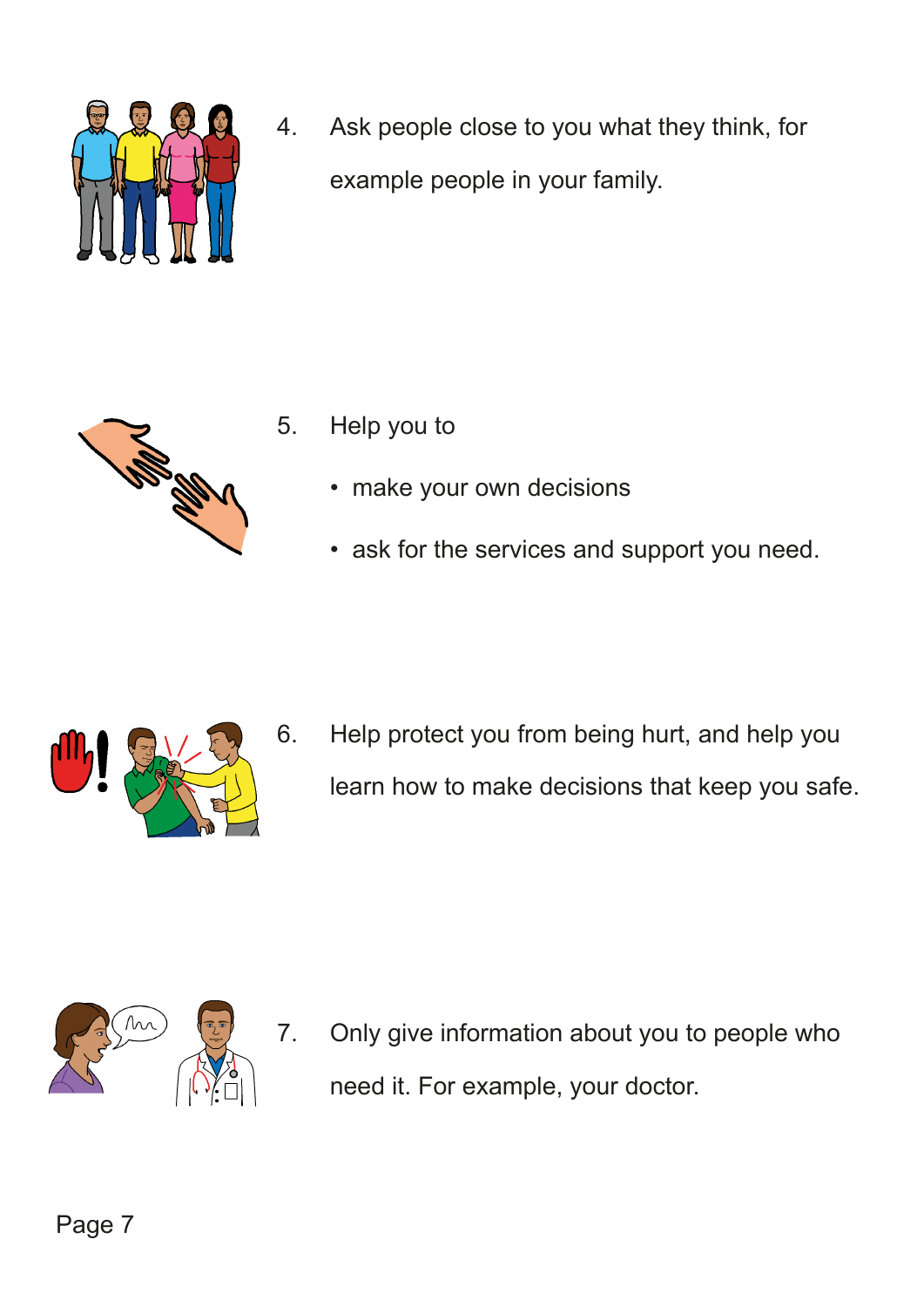

4. Ask people close to you what they think, for example people in your family.



- 5. Help you to
	- make your own decisions
	- ask for the services and support you need.



6. Help protect you from being hurt, and help you learn how to make decisions that keep you safe.



7. Only give information about you to people who need it. For example, your doctor.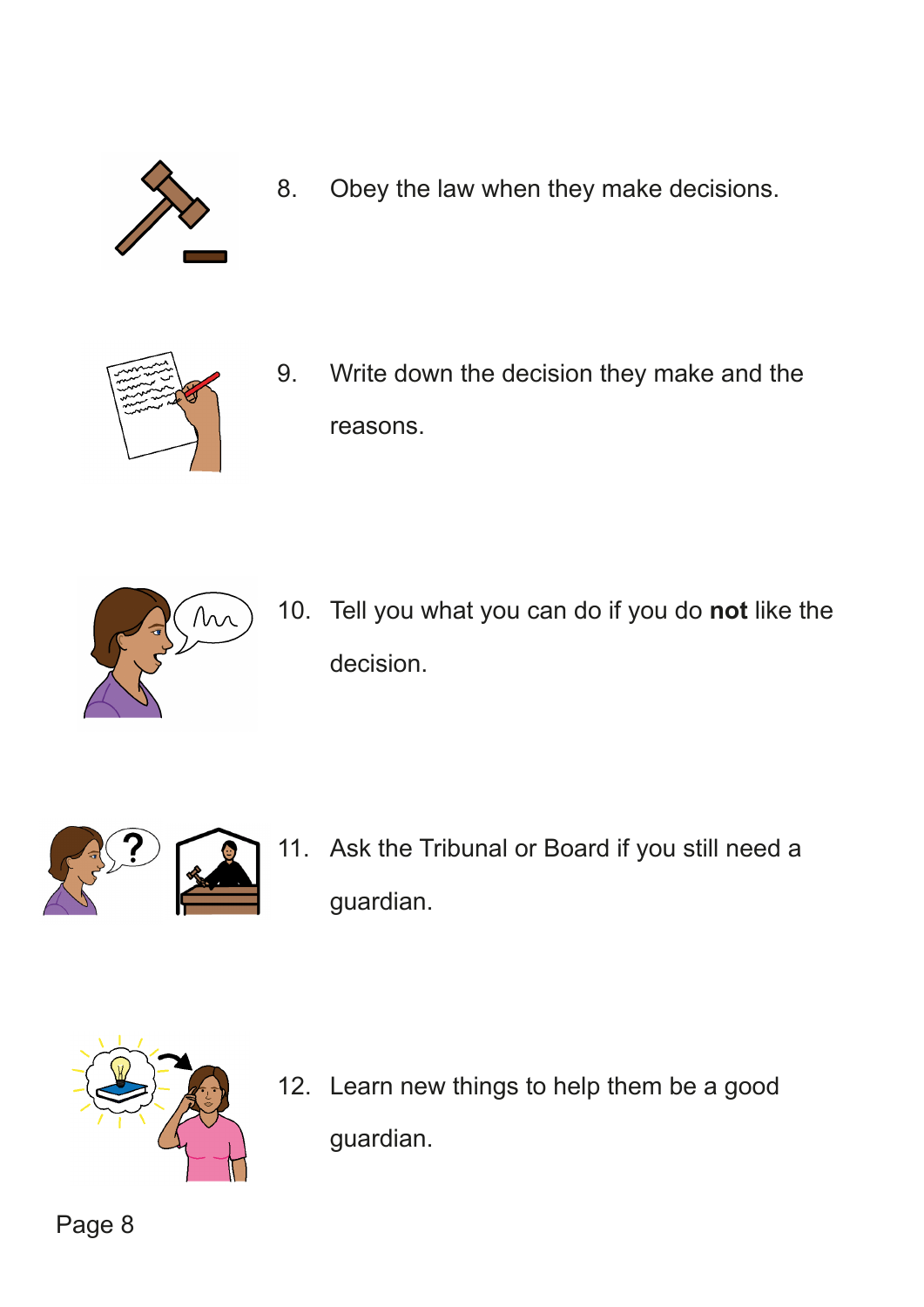

8. Obey the law when they make decisions.



9. Write down the decision they make and the reasons.



10. Tell you what you can do if you do **not** like the decision.



11. Ask the Tribunal or Board if you still need a guardian.



12. Learn new things to help them be a good guardian.